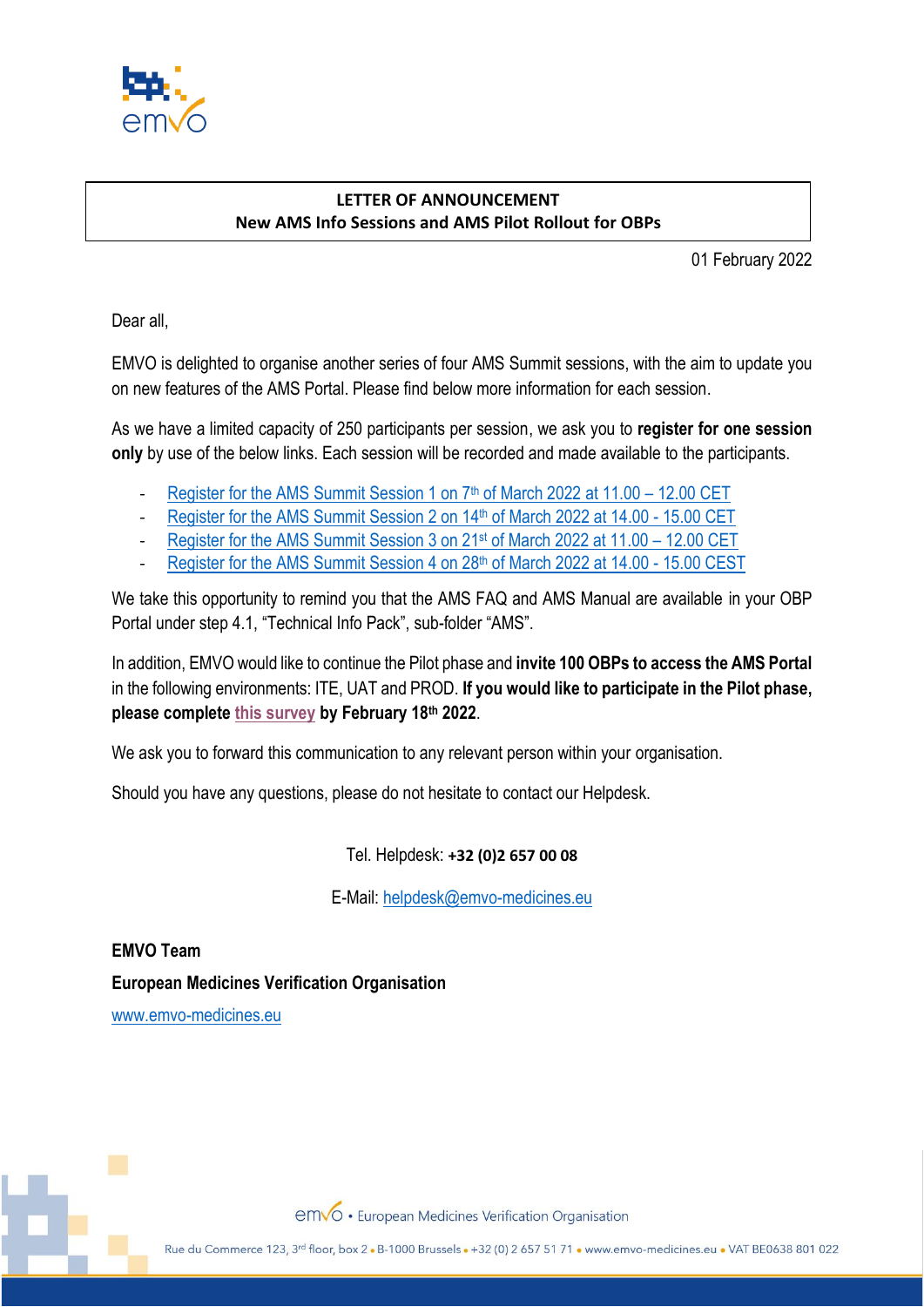

## **LETTER OF ANNOUNCEMENT New AMS Info Sessions and AMS Pilot Rollout for OBPs**

01 February 2022

Dear all,

EMVO is delighted to organise another series of four AMS Summit sessions, with the aim to update you on new features of the AMS Portal. Please find below more information for each session.

As we have a limited capacity of 250 participants per session, we ask you to **register for one session only** by use of the below links. Each session will be recorded and made available to the participants.

- Register for the AMS Summit Session 1 on 7<sup>th</sup> [of March 2022 at 11.00](https://www.eventbrite.com/e/ams-portal-information-session-ams-summit-0703-tickets-260187225997) 12.00 CET
- [Register for the AMS Summit Session 2](https://www.eventbrite.com/e/ams-portal-information-session-ams-summit-1403-tickets-260189372417) on 14<sup>th</sup> of March 2022 at 14.00 15.00 CET
- [Register for the AMS Summit Session 3](https://www.eventbrite.com/e/ams-portal-information-session-ams-summit-2103-tickets-260195611077) on 21<sup>st</sup> of March 2022 at 11.00 12.00 CET
- [Register for the AMS Summit Session 4](https://www.eventbrite.com/e/ams-portal-information-session-ams-summit-2803-tickets-260199693287) on 28th of March 2022 at 14.00 15.00 CEST

We take this opportunity to remind you that the AMS FAQ and AMS Manual are available in your OBP Portal under step 4.1, "Technical Info Pack", sub-folder "AMS".

In addition, EMVO would like to continue the Pilot phase and **invite 100 OBPs to access the AMS Portal**  in the following environments: ITE, UAT and PROD. **If you would like to participate in the Pilot phase, please complete [this survey](https://forms.office.com/Pages/ResponsePage.aspx?id=zeBRJ46jXEW1qq2N-ye1ZXC4575BvEpFmzJXeLe1HeBUN0lNUElRQ0E2WkM1MU5ONFoxQjE0VjVSMi4u) by February 18th 2022**.

We ask you to forward this communication to any relevant person within your organisation.

Should you have any questions, please do not hesitate to contact our Helpdesk.

Tel. Helpdesk: **+32 (0)2 657 00 08**

E-Mail: [helpdesk@emvo-medicines.eu](mailto:helpdesk@emvo-medicines.eu)

**EMVO Team European Medicines Verification Organisation**

[www.emvo-medicines.eu](http://www.emvo-medicines.eu/)

emvo · European Medicines Verification Organisation